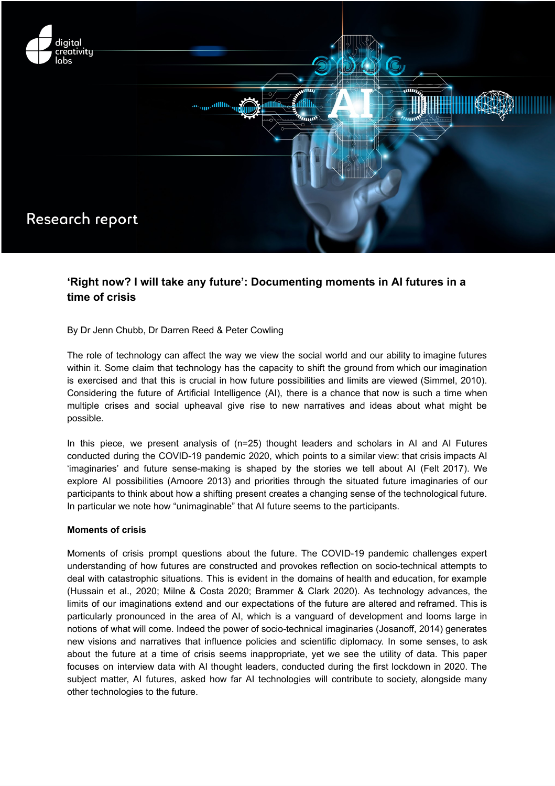

# **'Right now? I will take any future': Documenting moments in AI futures in a time of crisis**

# By Dr Jenn Chubb, Dr Darren Reed & Peter Cowling

The role of technology can affect the way we view the social world and our ability to imagine futures within it. Some claim that technology has the capacity to shift the ground from which our imagination is exercised and that this is crucial in how future possibilities and limits are viewed (Simmel, 2010). Considering the future of Artificial Intelligence (AI), there is a chance that now is such a time when multiple crises and social upheaval give rise to new narratives and ideas about what might be possible.

In this piece, we present analysis of (n=25) thought leaders and scholars in AI and AI Futures conducted during the COVID-19 pandemic 2020, which points to a similar view: that crisis impacts AI 'imaginaries' and future sense-making is shaped by the stories we tell about AI (Felt 2017). We explore AI possibilities (Amoore 2013) and priorities through the situated future imaginaries of our participants to think about how a shifting present creates a changing sense of the technological future. In particular we note how "unimaginable" that AI future seems to the participants.

#### **Moments of crisis**

Moments of crisis prompt questions about the future. The COVID-19 pandemic challenges expert understanding of how futures are constructed and provokes reflection on socio-technical attempts to deal with catastrophic situations. This is evident in the domains of health and education, for example (Hussain et al., 2020; Milne & Costa 2020; Brammer & Clark 2020). As technology advances, the limits of our imaginations extend and our expectations of the future are altered and reframed. This is particularly pronounced in the area of AI, which is a vanguard of development and looms large in notions of what will come. Indeed the power of socio-technical imaginaries (Josanoff, 2014) generates new visions and narratives that influence policies and scientific diplomacy. In some senses, to ask about the future at a time of crisis seems inappropriate, yet we see the utility of data. This paper focuses on interview data with AI thought leaders, conducted during the first lockdown in 2020. The subject matter, AI futures, asked how far AI technologies will contribute to society, alongside many other technologies to the future.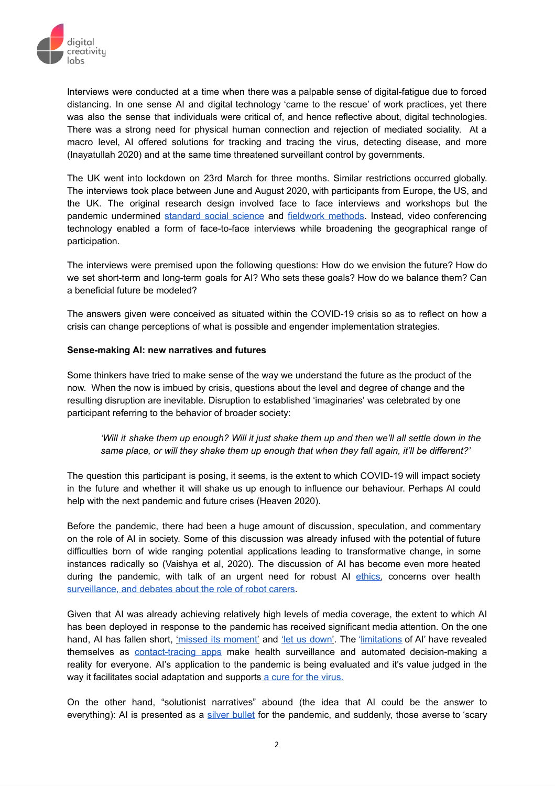

Interviews were conducted at a time when there was a palpable sense of digital-fatigue due to forced distancing. In one sense AI and digital technology 'came to the rescue' of work practices, yet there was also the sense that individuals were critical of, and hence reflective about, digital technologies. There was a strong need for physical human connection and rejection of mediated sociality. At a macro level, AI offered solutions for tracking and tracing the virus, detecting disease, and more (Inayatullah 2020) and at the same time threatened surveillant control by governments.

The UK went into lockdown on 23rd March for three months. Similar restrictions occurred globally. The interviews took place between June and August 2020, with participants from Europe, the US, and the UK. The original research design involved face to face interviews and workshops but the pandemic undermined [standard](https://blogs.lse.ac.uk/impactofsocialsciences/2020/03/23/editorial-social-science-in-a-time-of-social-distancing/) social science and [fieldwork](https://items.ssrc.org/covid-19-and-the-social-sciences/social-research-and-insecurity/research-in-insecure-times-and-places-ethics-of-social-research-for-emerging-ecologies-of-insecurity/) methods. Instead, video conferencing technology enabled a form of face-to-face interviews while broadening the geographical range of participation.

The interviews were premised upon the following questions: How do we envision the future? How do we set short-term and long-term goals for AI? Who sets these goals? How do we balance them? Can a beneficial future be modeled?

The answers given were conceived as situated within the COVID-19 crisis so as to reflect on how a crisis can change perceptions of what is possible and engender implementation strategies.

# **Sense-making AI: new narratives and futures**

Some thinkers have tried to make sense of the way we understand the future as the product of the now. When the now is imbued by crisis, questions about the level and degree of change and the resulting disruption are inevitable. Disruption to established 'imaginaries' was celebrated by one participant referring to the behavior of broader society:

'Will it shake them up enough? Will it just shake them up and then we'll all settle down in the *same place, or will they shake them up enough that when they fall again, it'll be different?'*

The question this participant is posing, it seems, is the extent to which COVID-19 will impact society in the future and whether it will shake us up enough to influence our behaviour. Perhaps AI could help with the next pandemic and future crises (Heaven 2020).

Before the pandemic, there had been a huge amount of discussion, speculation, and commentary on the role of AI in society. Some of this discussion was already infused with the potential of future difficulties born of wide ranging potential applications leading to transformative change, in some instances radically so (Vaishya et al, 2020). The discussion of AI has become even more heated during the pandemic, with talk of an urgent need for robust AI [ethics,](https://www.nature.com/articles/s42256-020-0195-0) concerns over health [surveillance](https://onlinelibrary.wiley.com/doi/10.1002/hast.1125), and [debates](https://www.fayboundalberti.com/blog/2020/9/14/robots-care-homes-and-loneliness) about the role of robot carers.

Given that AI was already achieving relatively high levels of media coverage, the extent to which AI has been deployed in response to the pandemic has received significant media attention. On the one hand, AI has fallen short, ['](https://www.technologyreview.com/2020/03/12/905352/ai-could-help-with-the-next-pandemicbut-not-with-this-one/)missed its [moment'](https://www.technologyreview.com/2020/03/12/905352/ai-could-help-with-the-next-pandemicbut-not-with-this-one/) and 'let us [down'](https://www.ft.com/content/0aafc2de-f46d-4646-acfd-4ed7a7f6feaa). The '[limitations](https://www.nesta.org.uk/blog/how-the-pandemic-has-exposed-ais-limitations/) of AI' have revealed themselves as [contact-tracing](https://www.nature.com/articles/s42256-020-0194-1) apps make health surveillance and automated decision-making a reality for everyone. AI's application to the pandemic is being evaluated and it's value judged in the way it facilitates social adaptation and supports a cure for the [virus.](https://twitter.com/rachelcoldicutt/status/1323155577376284678?s=21)

On the other hand, "solutionist narratives" abound (the idea that AI could be the answer to everything): AI is presented as a silver [bullet](https://economictimes.indiatimes.com/small-biz/startups/features/coronavirus-will-finally-give-artificial-intelligence-its-moment/articleshow/76477021.cms?from=mdr) for the pandemic, and suddenly, those averse to 'scary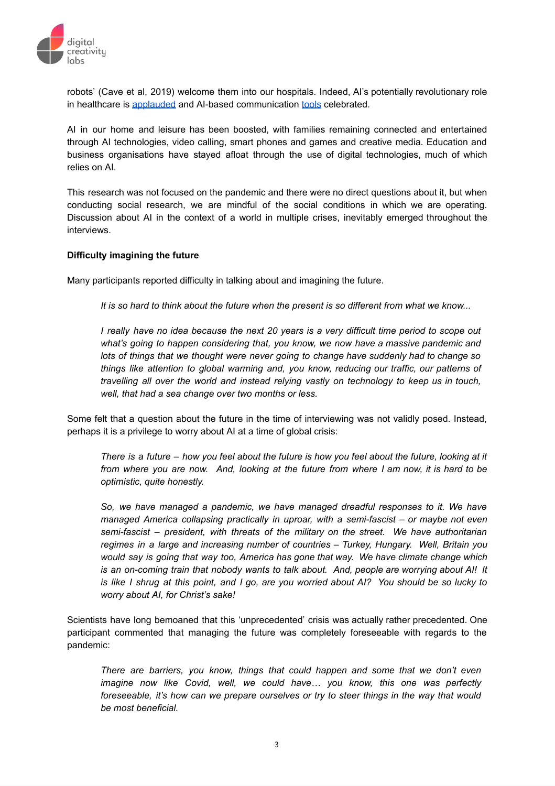

robots' (Cave et al, 2019) welcome them into our hospitals. Indeed, AI's potentially revolutionary role in healthcare is [applauded](https://www.forbes.com/sites/bernardmarr/2020/03/18/how-robots-and-drones-are-helping-to-fight-coronavirus/#269aeb3f2a12) and AI-based communication [tools](https://news.mit.edu/2020/covid-19-cough-cellphone-detection-1029) celebrated.

AI in our home and leisure has been boosted, with families remaining connected and entertained through AI technologies, video calling, smart phones and games and creative media. Education and business organisations have stayed afloat through the use of digital technologies, much of which relies on AI.

This research was not focused on the pandemic and there were no direct questions about it, but when conducting social research, we are mindful of the social conditions in which we are operating. Discussion about AI in the context of a world in multiple crises, inevitably emerged throughout the interviews.

### **Difficulty imagining the future**

Many participants reported difficulty in talking about and imagining the future.

It is so hard to think about the future when the present is so different from what we know...

I really have no idea because the next 20 years is a very difficult time period to scope out *what's going to happen considering that, you know, we now have a massive pandemic and lots of things that we thought were never going to change have suddenly had to change so things like attention to global warming and, you know, reducing our traffic, our patterns of travelling all over the world and instead relying vastly on technology to keep us in touch, well, that had a sea change over two months or less.*

Some felt that a question about the future in the time of interviewing was not validly posed. Instead, perhaps it is a privilege to worry about AI at a time of global crisis:

There is a future - how you feel about the future is how you feel about the future, looking at it from where you are now. And, looking at the future from where I am now, it is hard to be *optimistic, quite honestly.*

*So, we have managed a pandemic, we have managed dreadful responses to it. We have managed America collapsing practically in uproar, with a semi-fascist – or maybe not even semi-fascist – president, with threats of the military on the street. We have authoritarian regimes in a large and increasing number of countries – Turkey, Hungary. Well, Britain you would say is going that way too, America has gone that way. We have climate change which is an on-coming train that nobody wants to talk about. And, people are worrying about AI! It* is like I shrug at this point, and I go, are you worried about AI? You should be so lucky to *worry about AI, for Christ's sake!*

Scientists have long bemoaned that this 'unprecedented' crisis was actually rather precedented. One participant commented that managing the future was completely foreseeable with regards to the pandemic:

*There are barriers, you know, things that could happen and some that we don't even imagine now like Covid, well, we could have… you know, this one was perfectly foreseeable, it's how can we prepare ourselves or try to steer things in the way that would be most beneficial.*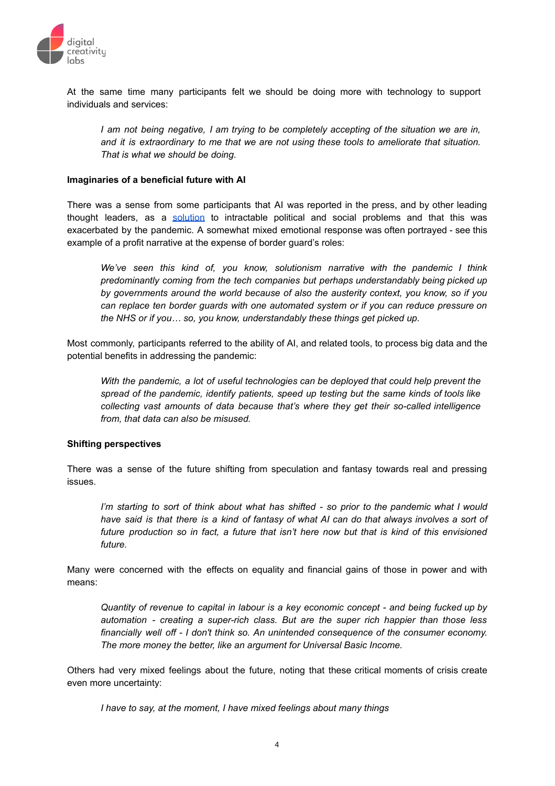

At the same time many participants felt we should be doing more with technology to support individuals and services:

*I am not being negative, I am trying to be completely accepting of the situation we are in, and it is extraordinary to me that we are not using these tools to ameliorate that situation. That is what we should be doing.*

## **Imaginaries of a beneficial future with AI**

There was a sense from some participants that AI was reported in the press, and by other leading thought leaders, as a [solution](https://www.ncbi.nlm.nih.gov/pmc/articles/PMC7195043/) to intractable political and social problems and that this was exacerbated by the pandemic. A somewhat mixed emotional response was often portrayed - see this example of a profit narrative at the expense of border guard's roles:

*We've seen this kind of, you know, solutionism narrative with the pandemic I think predominantly coming from the tech companies but perhaps understandably being picked up by governments around the world because of also the austerity context, you know, so if you can replace ten border guards with one automated system or if you can reduce pressure on the NHS or if you… so, you know, understandably these things get picked up.*

Most commonly, participants referred to the ability of AI, and related tools, to process big data and the potential benefits in addressing the pandemic:

*With the pandemic, a lot of useful technologies can be deployed that could help prevent the spread of the pandemic, identify patients, speed up testing but the same kinds of tools like collecting vast amounts of data because that's where they get their so-called intelligence from, that data can also be misused.*

#### **Shifting perspectives**

There was a sense of the future shifting from speculation and fantasy towards real and pressing issues.

I'm starting to sort of think about what has shifted - so prior to the pandemic what I would have said is that there is a kind of fantasy of what AI can do that always involves a sort of *future production so in fact, a future that isn't here now but that is kind of this envisioned future.*

Many were concerned with the effects on equality and financial gains of those in power and with means:

*Quantity of revenue to capital in labour is a key economic concept - and being fucked up by automation - creating a super-rich class. But are the super rich happier than those less financially well off - I don't think so. An unintended consequence of the consumer economy. The more money the better, like an argument for Universal Basic Income.*

Others had very mixed feelings about the future, noting that these critical moments of crisis create even more uncertainty:

*I have to say, at the moment, I have mixed feelings about many things*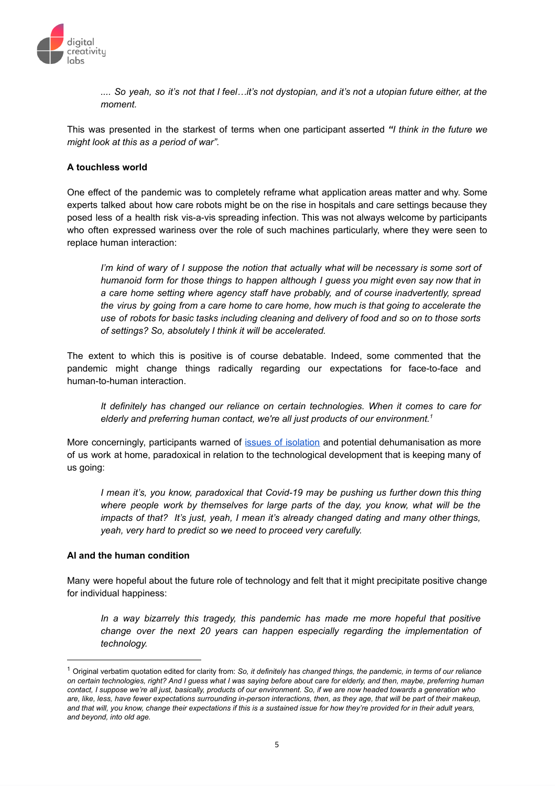

.... So yeah, so it's not that I feel...it's not dystopian, and it's not a utopian future either, at the *moment.*

This was presented in the starkest of terms when one participant asserted *"I think in the future we might look at this as a period of war".*

# **A touchless world**

One effect of the pandemic was to completely reframe what application areas matter and why. Some experts talked about how care robots might be on the rise in hospitals and care settings because they posed less of a health risk vis-a-vis spreading infection. This was not always welcome by participants who often expressed wariness over the role of such machines particularly, where they were seen to replace human interaction:

I'm kind of wary of I suppose the notion that actually what will be necessary is some sort of *humanoid form for those things to happen although I guess you might even say now that in a care home setting where agency staff have probably, and of course inadvertently, spread the virus by going from a care home to care home, how much is that going to accelerate the use of robots for basic tasks including cleaning and delivery of food and so on to those sorts of settings? So, absolutely I think it will be accelerated.*

The extent to which this is positive is of course debatable. Indeed, some commented that the pandemic might change things radically regarding our expectations for face-to-face and human-to-human interaction.

*It definitely has changed our reliance on certain technologies. When it comes to care for elderly and preferring human contact, we're all just products of our environment. 1*

More concerningly, participants warned of issues of [isolation](https://theconversation.com/robots-to-be-introduced-in-uk-care-homes-to-allay-loneliness-thats-inhuman-145879) and potential dehumanisation as more of us work at home, paradoxical in relation to the technological development that is keeping many of us going:

*I mean it's, you know, paradoxical that Covid-19 may be pushing us further down this thing where people work by themselves for large parts of the day, you know, what will be the impacts of that? It's just, yeah, I mean it's already changed dating and many other things, yeah, very hard to predict so we need to proceed very carefully.*

#### **AI and the human condition**

Many were hopeful about the future role of technology and felt that it might precipitate positive change for individual happiness:

*In a way bizarrely this tragedy, this pandemic has made me more hopeful that positive change over the next 20 years can happen especially regarding the implementation of technology.*

<sup>1</sup> Original verbatim quotation edited for clarity from: *So, it definitely has changed things, the pandemic, in terms of our reliance* on certain technologies, right? And I guess what I was saying before about care for elderly, and then, maybe, preferring human contact. I suppose we're all just, basically, products of our environment. So, if we are now headed towards a generation who are, like, less, have fewer expectations surrounding in-person interactions, then, as they age, that will be part of their makeup, and that will, you know, change their expectations if this is a sustained issue for how they're provided for in their adult years, *and beyond, into old age.*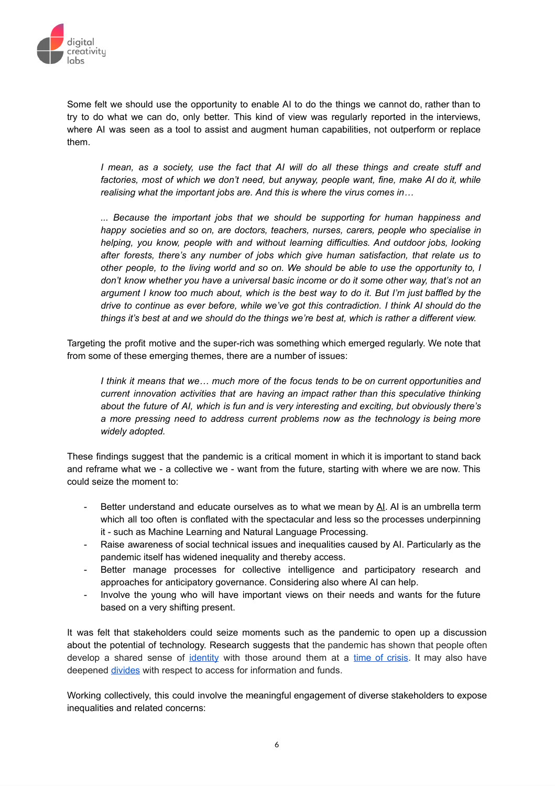

Some felt we should use the opportunity to enable AI to do the things we cannot do, rather than to try to do what we can do, only better. This kind of view was regularly reported in the interviews, where AI was seen as a tool to assist and augment human capabilities, not outperform or replace them.

*I mean, as a society, use the fact that AI will do all these things and create stuff and factories, most of which we don't need, but anyway, people want, fine, make AI do it, while realising what the important jobs are. And this is where the virus comes in…*

*... Because the important jobs that we should be supporting for human happiness and happy societies and so on, are doctors, teachers, nurses, carers, people who specialise in helping, you know, people with and without learning difficulties. And outdoor jobs, looking after forests, there's any number of jobs which give human satisfaction, that relate us to other people, to the living world and so on. We should be able to use the opportunity to, I don't know whether you have a universal basic income or do it some other way, that's not an* argument I know too much about, which is the best way to do it. But I'm just baffled by the *drive to continue as ever before, while we've got this contradiction. I think AI should do the* things it's best at and we should do the things we're best at, which is rather a different view.

Targeting the profit motive and the super-rich was something which emerged regularly. We note that from some of these emerging themes, there are a number of issues:

*I think it means that we… much more of the focus tends to be on current opportunities and current innovation activities that are having an impact rather than this speculative thinking about the future of AI, which is fun and is very interesting and exciting, but obviously there's a more pressing need to address current problems now as the technology is being more widely adopted.*

These findings suggest that the pandemic is a critical moment in which it is important to stand back and reframe what we - a collective we - want from the future, starting with where we are now. This could seize the moment to:

- Better understand and educate ourselves as to what we mean by [AI.](https://www.healio.com/news/ophthalmology/20191029/artificial-intelligence-includes-tools-and-instruments-not-just-robots-that-improve-health-care?utm_source=TrendMD&utm_medium=cpc&utm_campaign=Healio__TrendMD_1) AI is an umbrella term which all too often is conflated with the spectacular and less so the processes underpinning it - such as Machine Learning and Natural Language Processing.
- Raise awareness of social technical issues and inequalities caused by AI. Particularly as the pandemic itself has widened inequality and thereby access.
- Better manage processes for collective intelligence and participatory research and approaches for anticipatory governance. Considering also where AI can help.
- Involve the young who will have important views on their needs and wants for the future based on a very shifting present.

It was felt that stakeholders could seize moments such as the pandemic to open up a discussion about the potential of technology. Research suggests that the pandemic has shown that people often develop a shared sense of [identity](https://www.researchgate.net/publication/228642933_The_Nature_of_Collective_Resilience_Survivor_Reactions_to_the_2005_London_Bombings) with those around them at a time of [crisis.](https://theconversation.com/human-behaviour-what-scientists-have-learned-about-it-from-the-pandemic-163666?utm_medium=email&utm_campaign=Latest%20from%20The%20Conversation%20for%20July%202%202021%20-%201991619551&utm_content=Latest%20from%20The%20Conversation%20for%20July%202%202021%20-%201991619551+CID_2dfb5a66240eeb0c3dd9c74f5aca0ceb&utm_source=campaign_monitor_uk&utm_term=cannot%20be%20determined) It may also have deepened [divides](https://scholarship.law.tamu.edu/cgi/viewcontent.cgi?article=2425&context=facscholar) with respect to access for information and funds.

Working collectively, this could involve the meaningful engagement of diverse stakeholders to expose inequalities and related concerns: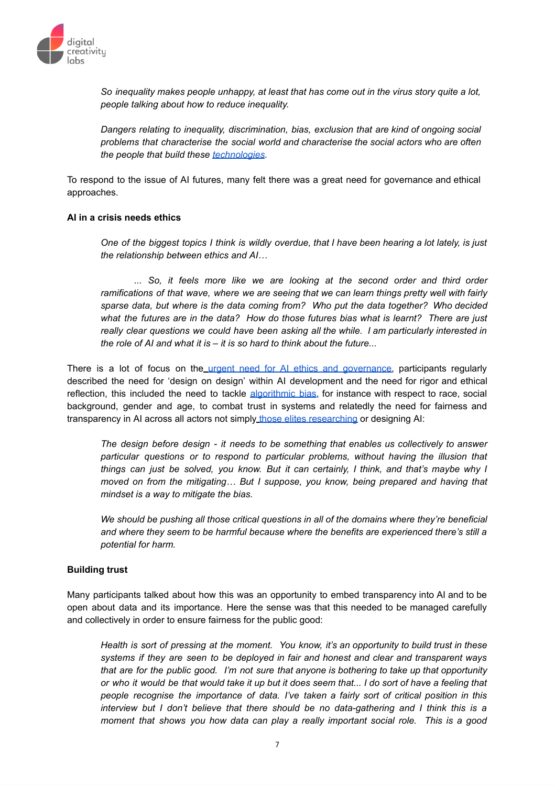

*So inequality makes people unhappy, at least that has come out in the virus story quite a lot, people talking about how to reduce inequality.*

*Dangers relating to inequality, discrimination, bias, exclusion that are kind of ongoing social problems that characterise the social world and characterise the social actors who are often the people that build these [technologies.](https://journalofethics.ama-assn.org/article/can-ai-help-reduce-disparities-general-medical-and-mental-health-care/2019-02?source=post_page---------------------------)*

To respond to the issue of AI futures, many felt there was a great need for governance and ethical approaches.

#### **AI in a crisis needs ethics**

One of the biggest topics I think is wildly overdue, that I have been hearing a lot lately, is just *the relationship between ethics and AI…*

*... So, it feels more like we are looking at the second order and third order ramifications of that wave, where we are seeing that we can learn things pretty well with fairly sparse data, but where is the data coming from? Who put the data together? Who decided what the futures are in the data? How do those futures bias what is learnt? There are just really clear questions we could have been asking all the while. I am particularly interested in the role of AI and what it is – it is so hard to think about the future...*

Th[e](https://www.nature.com/articles/s42256-020-0195-0)re is a lot of focus on the urgent need for AI ethics and [governance,](https://www.nature.com/articles/s42256-020-0195-0) participants regularly described the need for 'design on design' within AI development and the need for rigor and ethical reflection, this included the need to tackle [algorithmic](https://theconversation.com/uk/topics/algorithmic-bias-67573) bias, for instance with respect to race, social background, gender and age, to combat trust in systems and relatedly the need for fairness and transparenc[y](https://link.springer.com/article/10.1007/s13347-020-00415-6) in AI across all actors not simply those elites [researching](https://link.springer.com/article/10.1007/s13347-020-00415-6) or designing AI:

*The design before design - it needs to be something that enables us collectively to answer particular questions or to respond to particular problems, without having the illusion that things can just be solved, you know. But it can certainly, I think, and that's maybe why I moved on from the mitigating… But I suppose, you know, being prepared and having that mindset is a way to mitigate the bias.*

*We should be pushing all those critical questions in all of the domains where they're beneficial and where they seem to be harmful because where the benefits are experienced there's still a potential for harm.*

# **Building trust**

Many participants talked about how this was an opportunity to embed transparency into AI and to be open about data and its importance. Here the sense was that this needed to be managed carefully and collectively in order to ensure fairness for the public good:

*Health is sort of pressing at the moment. You know, it's an opportunity to build trust in these systems if they are seen to be deployed in fair and honest and clear and transparent ways that are for the public good. I'm not sure that anyone is bothering to take up that opportunity* or who it would be that would take it up but it does seem that... I do sort of have a feeling that *people recognise the importance of data. I've taken a fairly sort of critical position in this interview but I don't believe that there should be no data-gathering and I think this is a moment that shows you how data can play a really important social role. This is a good*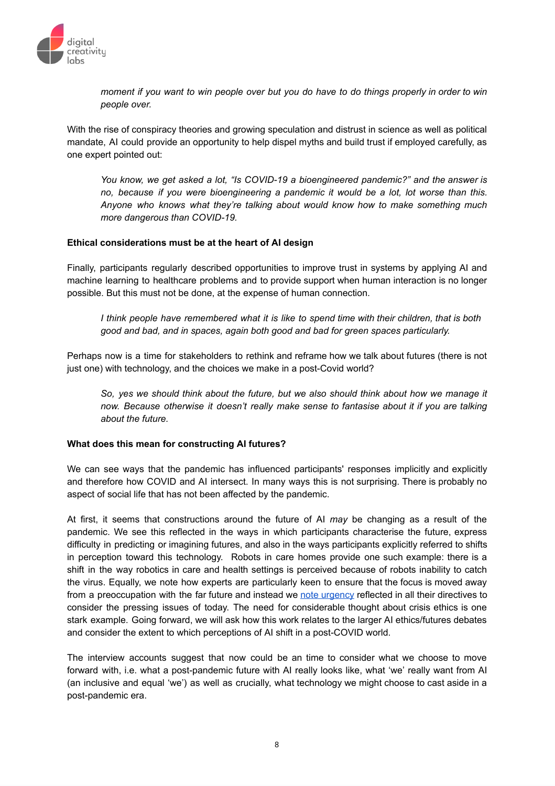

moment if you want to win people over but you do have to do things properly in order to win *people over.*

With the rise of conspiracy theories and growing speculation and distrust in science as well as political mandate, AI could provide an opportunity to help dispel myths and build trust if employed carefully, as one expert pointed out:

*You know, we get asked a lot, "Is COVID-19 a bioengineered pandemic?" and the answer is no, because if you were bioengineering a pandemic it would be a lot, lot worse than this. Anyone who knows what they're talking about would know how to make something much more dangerous than COVID-19.*

### **Ethical considerations must be at the heart of AI design**

Finally, participants regularly described opportunities to improve trust in systems by applying AI and machine learning to healthcare problems and to provide support when human interaction is no longer possible. But this must not be done, at the expense of human connection.

*I think people have remembered what it is like to spend time with their children, that is both good and bad, and in spaces, again both good and bad for green spaces particularly.*

Perhaps now is a time for stakeholders to rethink and reframe how we talk about futures (there is not just one) with technology, and the choices we make in a post-Covid world?

*So, yes we should think about the future, but we also should think about how we manage it now. Because otherwise it doesn't really make sense to fantasise about it if you are talking about the future.*

#### **What does this mean for constructing AI futures?**

We can see ways that the pandemic has influenced participants' responses implicitly and explicitly and therefore how COVID and AI intersect. In many ways this is not surprising. There is probably no aspect of social life that has not been affected by the pandemic.

At first, it seems that constructions around the future of AI *may* be changing as a result of the pandemic. We see this reflected in the ways in which participants characterise the future, express difficulty in predicting or imagining futures, and also in the ways participants explicitly referred to shifts in perception toward this technology. Robots in care homes provide one such example: there is a shift in the way robotics in care and health settings is perceived because of robots inability to catch the virus. Equally, we note how experts are particularly keen to ensure that the focus is moved away from a preoccupation with the far future and instead we note [urgency](https://www.technologyreview.com/2020/10/21/1009492/william-isaac-deepmind-dangers-of-ai/amp/) reflected in all their directives to consider the pressing issues of today. The need for considerable thought about crisis ethics is one stark example. Going forward, we will ask how this work relates to the larger AI ethics/futures debates and consider the extent to which perceptions of AI shift in a post-COVID world.

The interview accounts suggest that now could be an time to consider what we choose to move forward with, i.e. what a post-pandemic future with AI really looks like, what 'we' really want from AI (an inclusive and equal 'we') as well as crucially, what technology we might choose to cast aside in a post-pandemic era.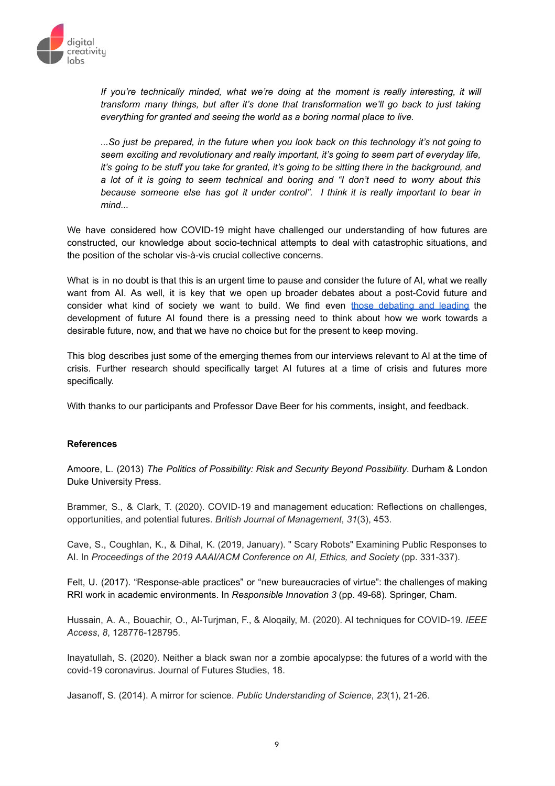

*If you're technically minded, what we're doing at the moment is really interesting, it will transform many things, but after it's done that transformation we'll go back to just taking everything for granted and seeing the world as a boring normal place to live.*

*...So just be prepared, in the future when you look back on this technology it's not going to seem exciting and revolutionary and really important, it's going to seem part of everyday life,* it's going to be stuff you take for granted, it's going to be sitting there in the background, and *a lot of it is going to seem technical and boring and "I don't need to worry about this because someone else has got it under control". I think it is really important to bear in mind...*

We have considered how COVID-19 might have challenged our understanding of how futures are constructed, our knowledge about socio-technical attempts to deal with catastrophic situations, and the position of the scholar vis-à-vis crucial collective concerns.

What is in no doubt is that this is an urgent time to pause and consider the future of AI, what we really want from AI. As well, it is key that we open up broader debates about a post-Covid future and consider what kind of society we want to build. We find even those [debating](https://www.imperial.ac.uk/design-engineering/research/responsible-engineering-design--innovation-redi/call-for-papers/) and leading the development of future AI found there is a pressing need to think about how we work towards a desirable future, now, and that we have no choice but for the present to keep moving.

This blog describes just some of the emerging themes from our interviews relevant to AI at the time of crisis. Further research should specifically target AI futures at a time of crisis and futures more specifically.

With thanks to our participants and Professor Dave Beer for his comments, insight, and feedback.

# **References**

Amoore, L. (2013) *The Politics of Possibility: Risk and Security Beyond Possibility*. Durham & London Duke University Press.

Brammer, S., & Clark, T. (2020). COVID‐19 and management education: Reflections on challenges, opportunities, and potential futures. *British Journal of Management*, *31*(3), 453.

Cave, S., Coughlan, K., & Dihal, K. (2019, January). " Scary Robots" Examining Public Responses to AI. In *Proceedings of the 2019 AAAI/ACM Conference on AI, Ethics, and Society* (pp. 331-337).

Felt, U. (2017). "Response-able practices" or "new bureaucracies of virtue": the challenges of making RRI work in academic environments. In *Responsible Innovation 3* (pp. 49-68). Springer, Cham.

Hussain, A. A., Bouachir, O., Al-Turjman, F., & Aloqaily, M. (2020). AI techniques for COVID-19. *IEEE Access*, *8*, 128776-128795.

Inayatullah, S. (2020). Neither a black swan nor a zombie apocalypse: the futures of a world with the covid-19 coronavirus. Journal of Futures Studies, 18.

Jasanoff, S. (2014). A mirror for science. *Public Understanding of Science*, *23*(1), 21-26.